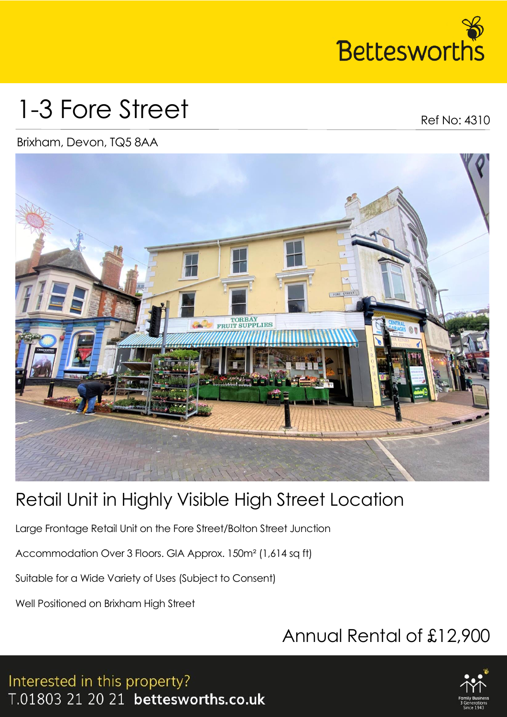

# 1-3 Fore Street

Ref No: 4310

#### Brixham, Devon, TQ5 8AA



### Retail Unit in Highly Visible High Street Location

Large Frontage Retail Unit on the Fore Street/Bolton Street Junction

Accommodation Over 3 Floors. GIA Approx. 150m² (1,614 sq ft)

Suitable for a Wide Variety of Uses (Subject to Consent)

Well Positioned on Brixham High Street

## Annual Rental of £12,900



Interested in this property? T.01803 21 20 21 bettesworths.co.uk